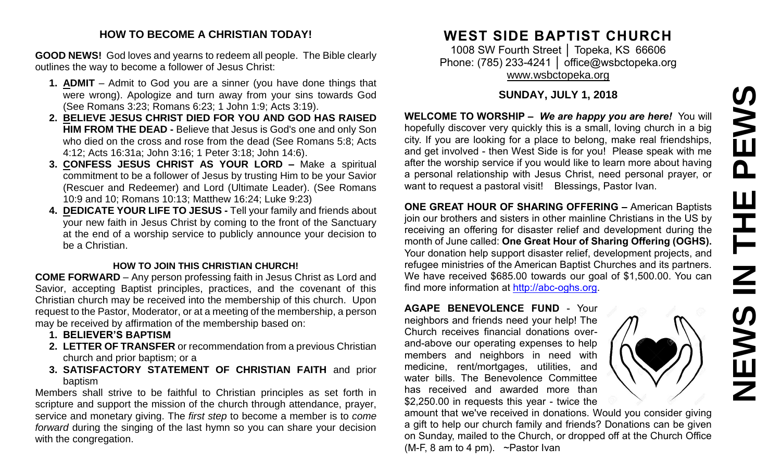#### **HOW TO BECOME A CHRISTIAN TODAY!**

**GOOD NEWS!** God loves and yearns to redeem all people. The Bible clearly outlines the way to become a follower of Jesus Christ:

- **1. ADMIT** Admit to God you are a sinner (you have done things that were wrong). Apologize and turn away from your sins towards God (See Romans 3:23; Romans 6:23; 1 John 1:9; Acts 3:19).
- **2. BELIEVE JESUS CHRIST DIED FOR YOU AND GOD HAS RAISED HIM FROM THE DEAD -** Believe that Jesus is God's one and only Son who died on the cross and rose from the dead (See Romans 5:8; Acts 4:12; Acts 16:31a; John 3:16; 1 Peter 3:18; John 14:6).
- **3. CONFESS JESUS CHRIST AS YOUR LORD –** Make a spiritual commitment to be a follower of Jesus by trusting Him to be your Savior (Rescuer and Redeemer) and Lord (Ultimate Leader). (See Romans 10:9 and 10; Romans 10:13; Matthew 16:24; Luke 9:23)
- **4. DEDICATE YOUR LIFE TO JESUS -** Tell your family and friends about your new faith in Jesus Christ by coming to the front of the Sanctuary at the end of a worship service to publicly announce your decision to be a Christian.

#### **HOW TO JOIN THIS CHRISTIAN CHURCH!**

**COME FORWARD** – Any person professing faith in Jesus Christ as Lord and Savior, accepting Baptist principles, practices, and the covenant of this Christian church may be received into the membership of this church. Upon request to the Pastor, Moderator, or at a meeting of the membership, a person may be received by affirmation of the membership based on:

- **1. BELIEVER'S BAPTISM**
- **2. LETTER OF TRANSFER** or recommendation from a previous Christian church and prior baptism; or a
- **3. SATISFACTORY STATEMENT OF CHRISTIAN FAITH** and prior baptism

Members shall strive to be faithful to Christian principles as set forth in scripture and support the mission of the church through attendance, prayer, service and monetary giving. The *first step* to become a member is to *come forward* during the singing of the last hymn so you can share your decision with the congregation.

# **WEST SIDE BAPTIST CHURCH**

1008 SW Fourth Street │ Topeka, KS 66606 Phone: (785) 233-4241 | [office@wsbctopeka.org](mailto:office@wsbctopeka.org) [www.wsbctopeka.org](http://www.wsbctopeka.org/)

### **SUNDAY, JULY 1, 2018**

**WELCOME TO WORSHIP –** *We are happy you are here!* You will hopefully discover very quickly this is a small, loving church in a big city. If you are looking for a place to belong, make real friendships, and get involved - then West Side is for you! Please speak with me after the worship service if you would like to learn more about having a personal relationship with Jesus Christ, need personal prayer, or want to request a pastoral visit! Blessings, Pastor Ivan.

**ONE GREAT HOUR OF SHARING OFFERING –** American Baptists join our brothers and sisters in other mainline Christians in the US by receiving an offering for disaster relief and development during the month of June called: **One Great Hour of Sharing Offering (OGHS).**  Your donation help support disaster relief, development projects, and refugee ministries of the American Baptist Churches and its partners. We have received \$685.00 towards our goal of \$1,500.00. You can find more information at [http://abc-oghs.org.](http://abc-oghs.org/)

**AGAPE BENEVOLENCE FUND** - Your neighbors and friends need your help! The Church receives financial donations overand-above our operating expenses to help members and neighbors in need with medicine, rent/mortgages, utilities, and water bills. The Benevolence Committee has received and awarded more than \$2,250.00 in requests this year - twice the

amount that we've received in donations. Would you consider giving a gift to help our church family and friends? Donations can be given on Sunday, mailed to the Church, or dropped off at the Church Office (M-F, 8 am to 4 pm). ~Pastor Ivan

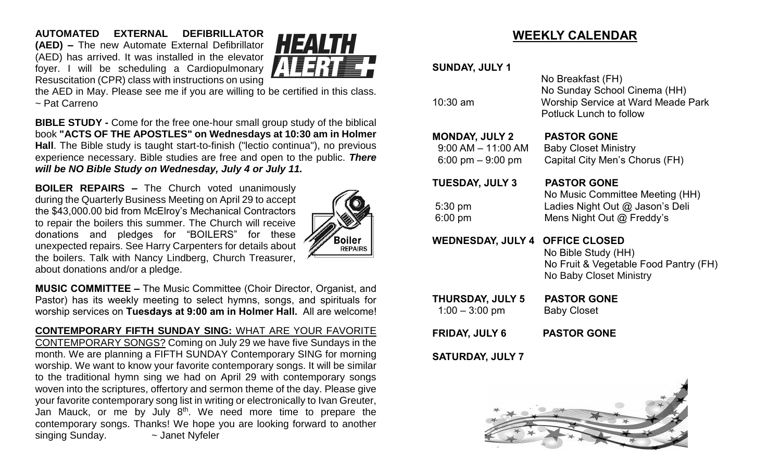**AUTOMATED EXTERNAL DEFIBRILLATOR (AED) –** The new Automate External Defibrillator (AED) has arrived. It was installed in the elevator foyer. I will be scheduling a Cardiopulmonary Resuscitation (CPR) class with instructions on using



the AED in May. Please see me if you are willing to be certified in this class. ~ Pat Carreno

**BIBLE STUDY -** Come for the free one-hour small group study of the biblical book **"ACTS OF THE APOSTLES" on Wednesdays at 10:30 am in Holmer Hall**. The Bible study is taught start-to-finish ("lectio continua"), no previous experience necessary. Bible studies are free and open to the public. *There will be NO Bible Study on Wednesday, July 4 or July 11.*

**BOILER REPAIRS –** The Church voted unanimously during the Quarterly Business Meeting on April 29 to accept the \$43,000.00 bid from McElroy's Mechanical Contractors to repair the boilers this summer. The Church will receive donations and pledges for "BOILERS" for these unexpected repairs. See Harry Carpenters for details about the boilers. Talk with Nancy Lindberg, Church Treasurer, about donations and/or a pledge.



**MUSIC COMMITTEE –** The Music Committee (Choir Director, Organist, and Pastor) has its weekly meeting to select hymns, songs, and spirituals for worship services on **Tuesdays at 9:00 am in Holmer Hall.** All are welcome!

**CONTEMPORARY FIFTH SUNDAY SING:** WHAT ARE YOUR FAVORITE CONTEMPORARY SONGS? Coming on July 29 we have five Sundays in the month. We are planning a FIFTH SUNDAY Contemporary SING for morning worship. We want to know your favorite contemporary songs. It will be similar to the traditional hymn sing we had on April 29 with contemporary songs woven into the scriptures, offertory and sermon theme of the day. Please give your favorite contemporary song list in writing or electronically to Ivan Greuter, Jan Mauck, or me by July 8<sup>th</sup>. We need more time to prepare the contemporary songs. Thanks! We hope you are looking forward to another singing Sunday.  $\sim$  Janet Nyfeler

# **WEEKLY CALENDAR**

**SUNDAY, JULY 1**

 No Breakfast (FH) No Sunday School Cinema (HH) 10:30 am Worship Service at Ward Meade Park Potluck Lunch to follow

No Music Committee Meeting (HH)

**MONDAY, JULY 2 PASTOR GONE**

9:00 AM – 11:00 AM Baby Closet Ministry 6:00 pm – 9:00 pm Capital City Men's Chorus (FH)

**TUESDAY, JULY 3 PASTOR GONE**

5:30 pm Ladies Night Out @ Jason's Deli

6:00 pm Mens Night Out @ Freddy's

**WEDNESDAY, JULY 4 OFFICE CLOSED**

 No Bible Study (HH) No Fruit & Vegetable Food Pantry (FH) No Baby Closet Ministry

**THURSDAY, JULY 5 PASTOR GONE** 1:00 – 3:00 pm Baby Closet

**FRIDAY, JULY 6 PASTOR GONE**

**SATURDAY, JULY 7** 

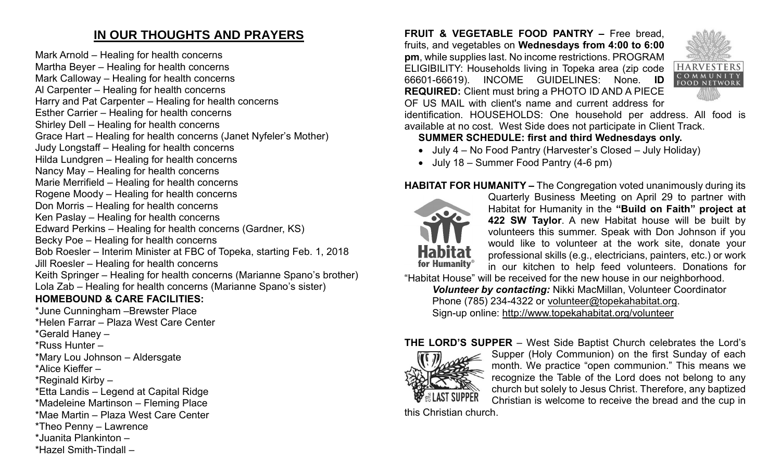# **IN OUR THOUGHTS AND PRAYERS**

Mark Arnold – Healing for health concerns Martha Beyer – Healing for health concerns Mark Calloway – Healing for health concerns Al Carpenter – Healing for health concerns Harry and Pat Carpenter – Healing for health concerns Esther Carrier – Healing for health concerns Shirley Dell – Healing for health concerns Grace Hart – Healing for health concerns (Janet Nyfeler's Mother) Judy Longstaff – Healing for health concerns Hilda Lundgren – Healing for health concerns Nancy May – Healing for health concerns Marie Merrifield – Healing for health concerns Rogene Moody – Healing for health concerns Don Morris – Healing for health concerns Ken Paslay – Healing for health concerns Edward Perkins – Healing for health concerns (Gardner, KS) Becky Poe – Healing for health concerns Bob Roesler – Interim Minister at FBC of Topeka, starting Feb. 1, 2018 Jill Roesler – Healing for health concerns Keith Springer – Healing for health concerns (Marianne Spano's brother) Lola Zab – Healing for health concerns (Marianne Spano's sister) **HOMEBOUND & CARE FACILITIES:** \*June Cunningham –Brewster Place \*Helen Farrar – Plaza West Care Center

\*Gerald Haney –

\*Russ Hunter –

\*Mary Lou Johnson – Aldersgate

\*Alice Kieffer –

\*Reginald Kirby –

\*Etta Landis – Legend at Capital Ridge

\*Madeleine Martinson – Fleming Place

\*Mae Martin – Plaza West Care Center

\*Theo Penny – Lawrence

\*Juanita Plankinton –

\*Hazel Smith-Tindall –

**FRUIT & VEGETABLE FOOD PANTRY –** Free bread, fruits, and vegetables on **Wednesdays from 4:00 to 6:00 pm**, while supplies last. No income restrictions. PROGRAM ELIGIBILITY: Households living in Topeka area (zip code 66601-66619). INCOME GUIDELINES: None. **ID REQUIRED:** Client must bring a PHOTO ID AND A PIECE OF US MAIL with client's name and current address for



identification. HOUSEHOLDS: One household per address. All food is available at no cost. West Side does not participate in Client Track.

## **SUMMER SCHEDULE: first and third Wednesdays only.**

- July 4 No Food Pantry (Harvester's Closed July Holiday)
- July 18 Summer Food Pantry (4-6 pm)

## **HABITAT FOR HUMANITY –** The Congregation voted unanimously during its



Quarterly Business Meeting on April 29 to partner with Habitat for Humanity in the **"Build on Faith" project at 422 SW Taylor**. A new Habitat house will be built by volunteers this summer. Speak with Don Johnson if you would like to volunteer at the work site, donate your professional skills (e.g., electricians, painters, etc.) or work in our kitchen to help feed volunteers. Donations for

"Habitat House" will be received for the new house in our neighborhood. *Volunteer by contacting:* Nikki MacMillan, Volunteer Coordinator Phone (785) 234-4322 or [volunteer@topekahabitat.org.](mailto:volunteer@topekahabitat.org) Sign-up online:<http://www.topekahabitat.org/volunteer>

## **THE LORD'S SUPPER** – West Side Baptist Church celebrates the Lord's



Supper (Holy Communion) on the first Sunday of each month. We practice "open communion." This means we recognize the Table of the Lord does not belong to any church but solely to Jesus Christ. Therefore, any baptized Christian is welcome to receive the bread and the cup in

this Christian church.